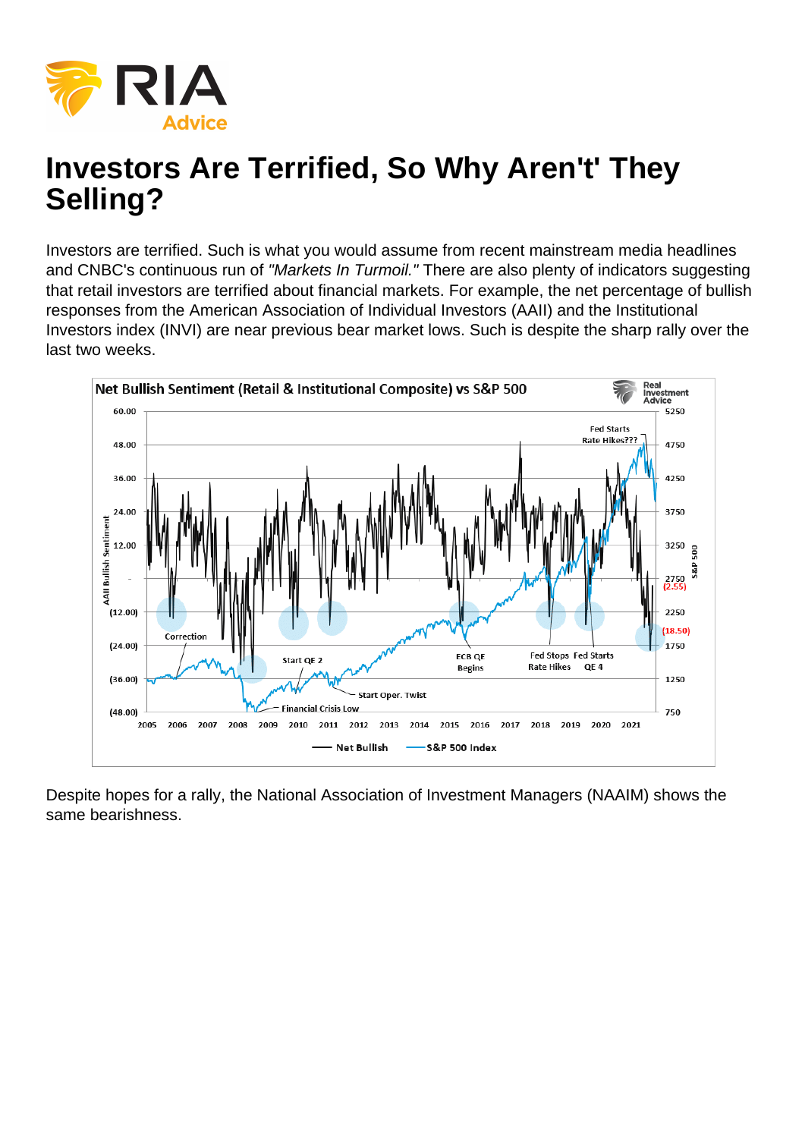## Investors Are Terrified, So Why Aren't' They Selling?

Investors are terrified. Such is what you would assume from recent mainstream media headlines and CNBC's continuous run of "Markets In Turmoil." There are also plenty of indicators suggesting that retail investors are terrified about financial markets. For example, the net percentage of bullish responses from the American Association of Individual Investors (AAII) and the Institutional Investors index (INVI) are near previous bear market lows. Such is despite the sharp rally over the last two weeks.

Despite hopes for a rally, the National Association of Investment Managers (NAAIM) shows the same bearishness.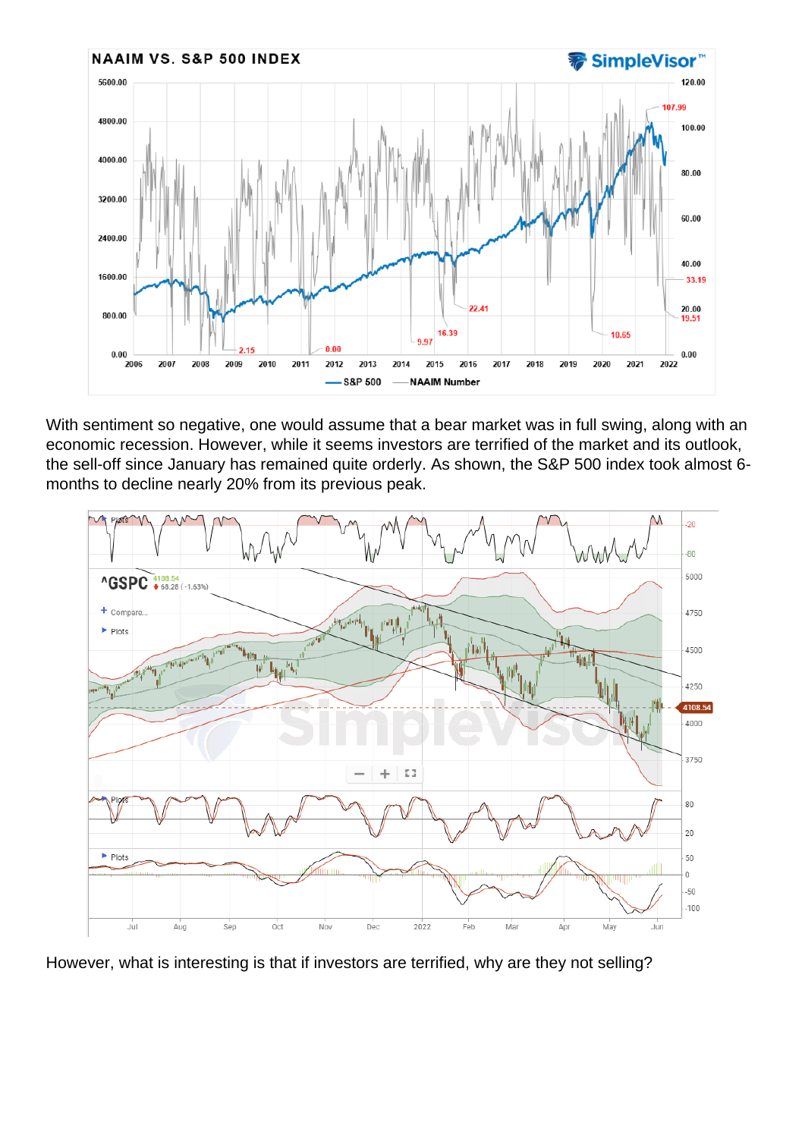With sentiment so negative, one would assume that a bear market was in full swing, along with an economic recession. However, while it seems investors are terrified of the market and its outlook, the sell-off since January has remained quite orderly. As shown, the S&P 500 index took almost 6 months to decline nearly 20% from its previous peak.

However, what is interesting is that if investors are terrified, why are they not selling?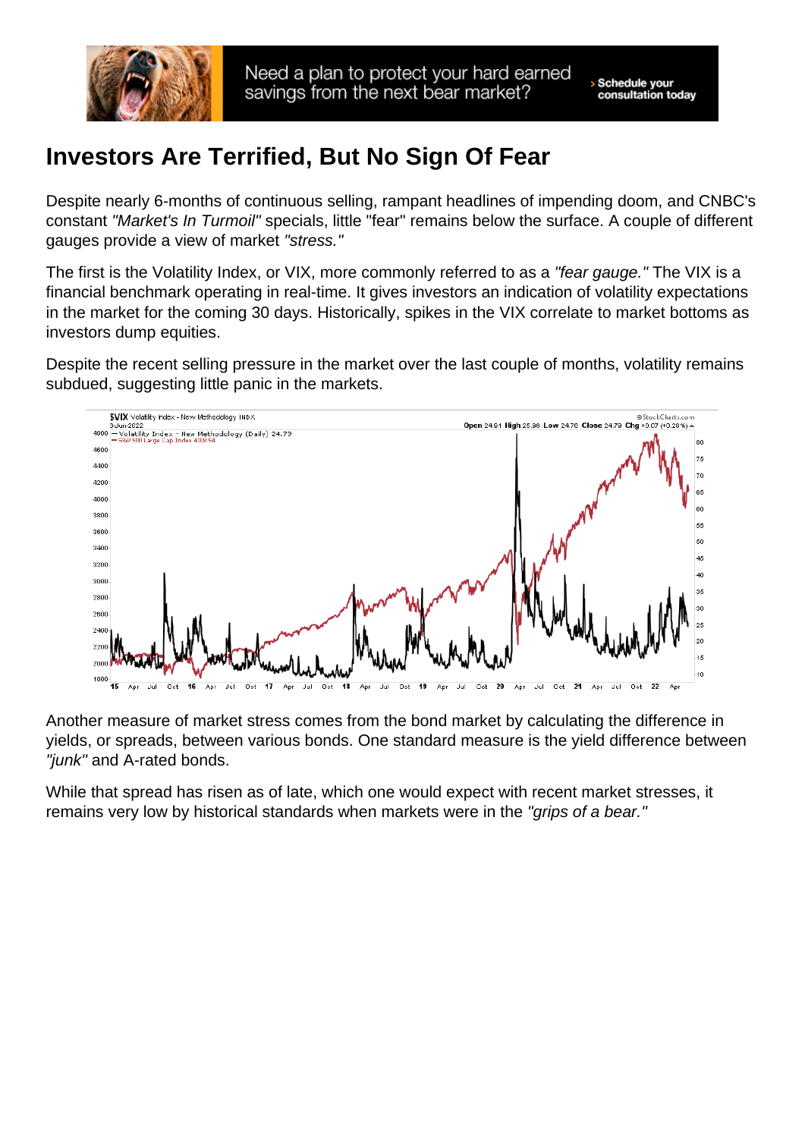## Investors Are Terrified, But No Sign Of Fear

Despite nearly 6-months of continuous selling, rampant headlines of impending doom, and CNBC's constant "Market's In Turmoil" specials, little "fear" remains below the surface. A couple of different gauges provide a view of market "stress."

The first is the Volatility Index, or VIX, more commonly referred to as a "fear gauge." The VIX is a financial benchmark operating in real-time. It gives investors an indication of volatility expectations in the market for the coming 30 days. Historically, spikes in the VIX correlate to market bottoms as investors dump equities.

Despite the recent selling pressure in the market over the last couple of months, volatility remains subdued, suggesting little panic in the markets.

Another measure of market stress comes from the bond market by calculating the difference in yields, or spreads, between various bonds. One standard measure is the yield difference between "junk" and A-rated bonds.

While that spread has risen as of late, which one would expect with recent market stresses, it remains very low by historical standards when markets were in the "grips of a bear."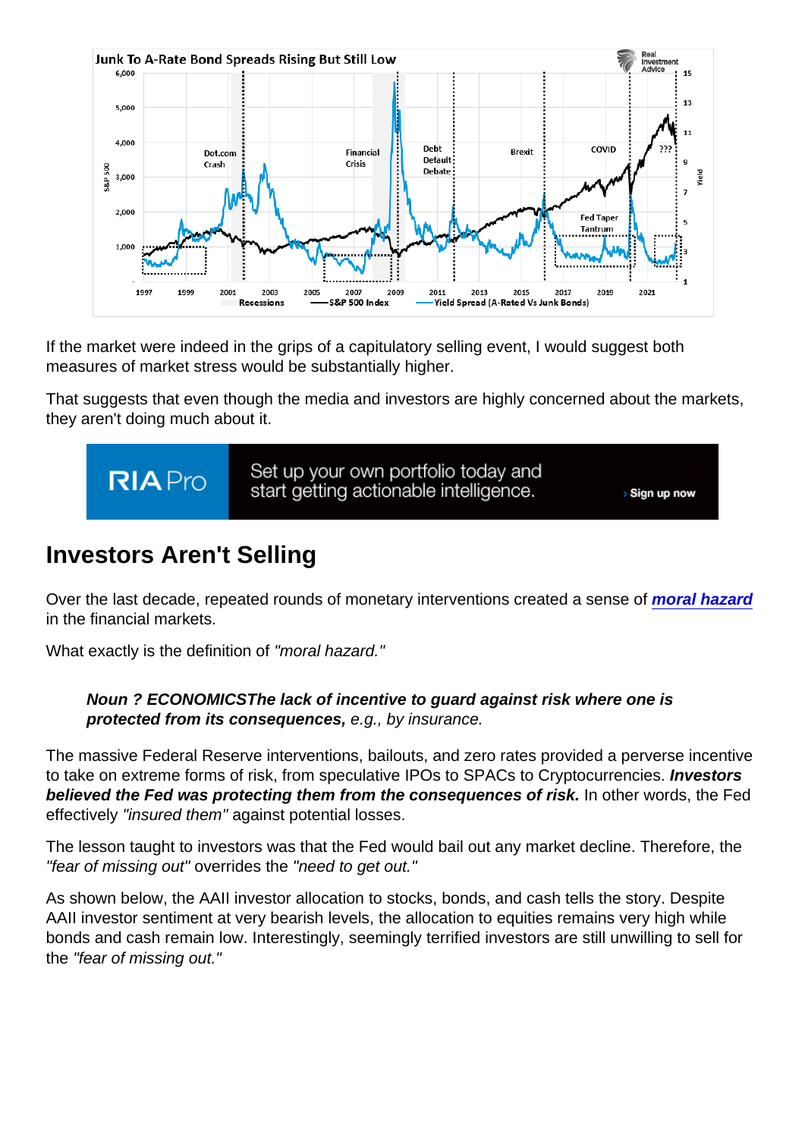If the market were indeed in the grips of a capitulatory selling event, I would suggest both measures of market stress would be substantially higher.

That suggests that even though the media and investors are highly concerned about the markets, they aren't doing much about it.

## Investors Aren't Selling

Over the last decade, repeated rounds of monetary interventions created a sense of [moral hazard](https://realinvestmentadvice.com/neel-kashkari-is-the-definition-of-moral-hazard/) in the financial markets.

What exactly is the definition of "moral hazard."

Noun ? ECONOMICSThe lack of incentive to guard against risk where one is protected from its consequences, e.g., by insurance.

The massive Federal Reserve interventions, bailouts, and zero rates provided a perverse incentive to take on extreme forms of risk, from speculative IPOs to SPACs to Cryptocurrencies. Investors believed the Fed was protecting them from the consequences of risk. In other words, the Fed effectively "insured them" against potential losses.

The lesson taught to investors was that the Fed would bail out any market decline. Therefore, the "fear of missing out" overrides the "need to get out."

As shown below, the AAII investor allocation to stocks, bonds, and cash tells the story. Despite AAII investor sentiment at very bearish levels, the allocation to equities remains very high while bonds and cash remain low. Interestingly, seemingly terrified investors are still unwilling to sell for the "fear of missing out."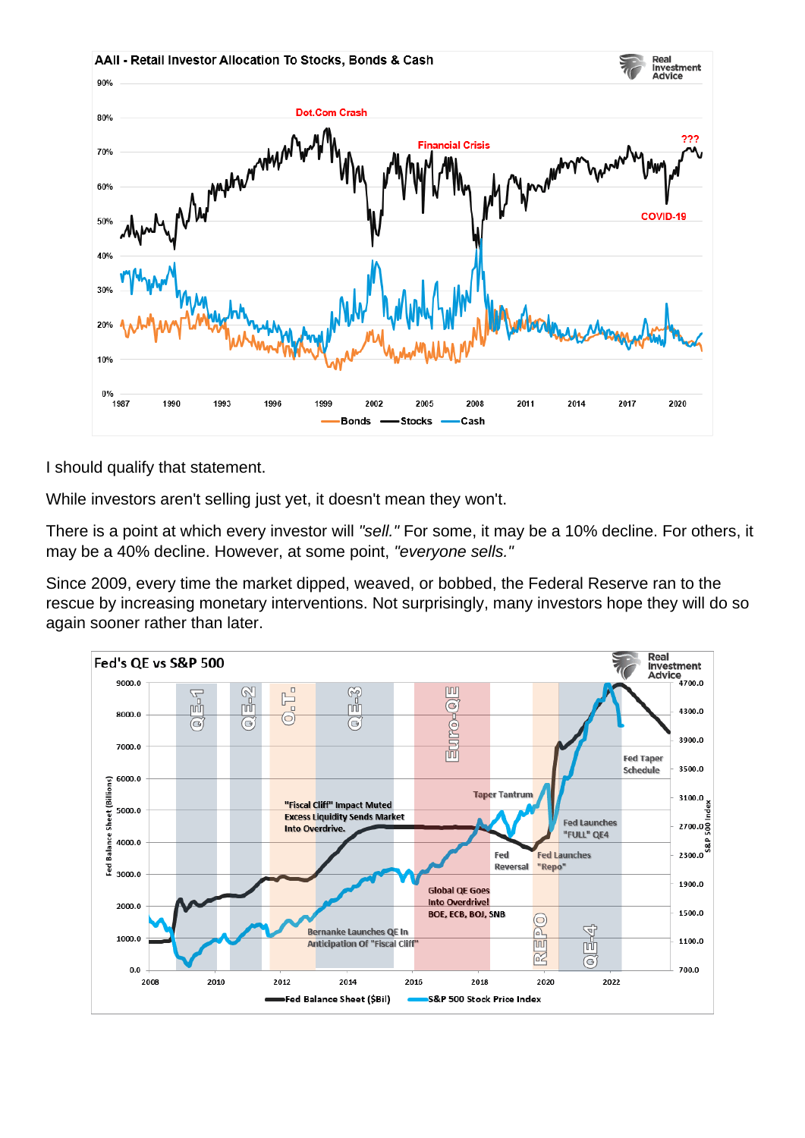I should qualify that statement.

While investors aren't selling just yet, it doesn't mean they won't.

There is a point at which every investor will "sell." For some, it may be a 10% decline. For others, it may be a 40% decline. However, at some point, "everyone sells."

Since 2009, every time the market dipped, weaved, or bobbed, the Federal Reserve ran to the rescue by increasing monetary interventions. Not surprisingly, many investors hope they will do so again sooner rather than later.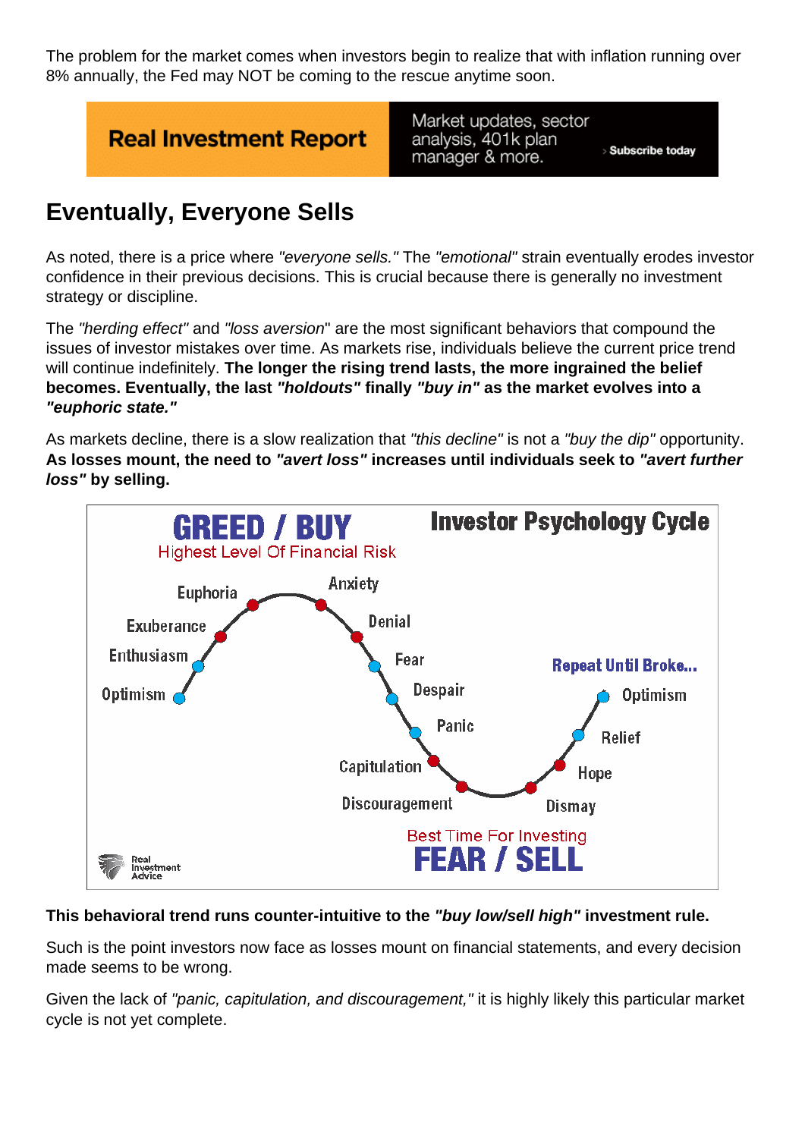The problem for the market comes when investors begin to realize that with inflation running over 8% annually, the Fed may NOT be coming to the rescue anytime soon.

## Eventually, Everyone Sells

As noted, there is a price where "everyone sells." The "emotional" strain eventually erodes investor confidence in their previous decisions. This is crucial because there is generally no investment strategy or discipline.

The "herding effect" and "loss aversion" are the most significant behaviors that compound the issues of investor mistakes over time. As markets rise, individuals believe the current price trend will continue indefinitely. The longer the rising trend lasts, the more ingrained the belief becomes. Eventually, the last "holdouts" finally "buy in" as the market evolves into a "euphoric state."

As markets decline, there is a slow realization that "this decline" is not a "buy the dip" opportunity. As losses mount, the need to "avert loss" increases until individuals seek to "avert further loss" by selling.

This behavioral trend runs counter-intuitive to the "buy low/sell high" investment rule.

Such is the point investors now face as losses mount on financial statements, and every decision made seems to be wrong.

Given the lack of "panic, capitulation, and discouragement," it is highly likely this particular market cycle is not yet complete.